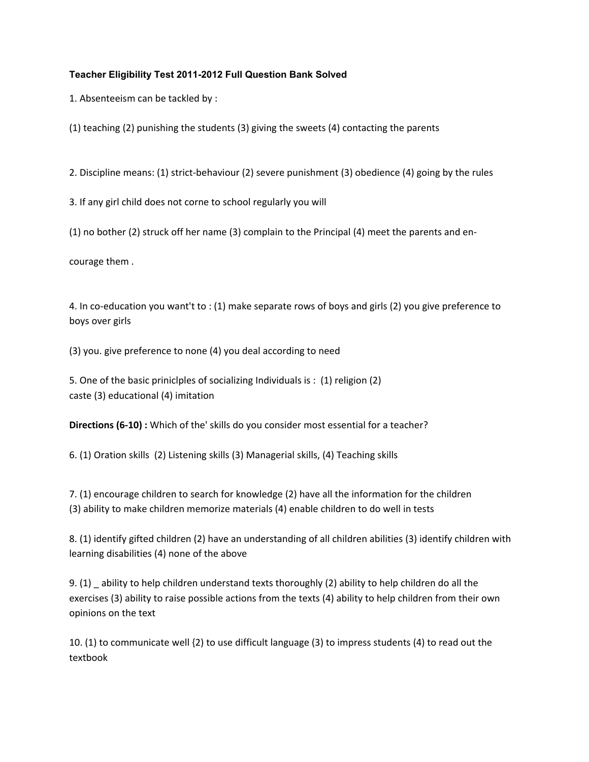# **Teacher Eligibility Test 2011-2012 Full Question Bank Solved**

1. Absenteeism can be tackled by :

(1) teaching (2) punishing the students (3) giving the sweets (4) contacting the parents

2. Discipline means: (1) strict-behaviour (2) severe punishment (3) obedience (4) going by the rules

3. If any girl child does not corne to school regularly you will

 $(1)$  no bother  $(2)$  struck off her name  $(3)$  complain to the Principal  $(4)$  meet the parents and en-

courage them .

4. In co-education you want't to : (1) make separate rows of boys and girls (2) you give preference to boys over girls

(3) you. give preference to none (4) you deal according to need

5. One of the basic priniclples of socializing Individuals is : (1) religion (2) caste (3) educational (4) imitation

**Directions (6-10) :** Which of the' skills do you consider most essential for a teacher?

6. (1) Oration skills (2) Listening skills (3) Managerial skills, (4) Teaching skills

7. (1) encourage children to search for knowledge (2) have all the information for the children (3) ability to make children memorize materials (4) enable children to do well in tests

8. (1) identify gifted children (2) have an understanding of all children abilities (3) identify children with learning disabilities (4) none of the above

9. (1) \_ ability to help children understand texts thoroughly (2) ability to help children do all the exercises (3) ability to raise possible actions from the texts (4) ability to help children from their own opinions on the text

10. (1) to communicate well {2) to use difficult language (3) to impress students (4) to read out the textbook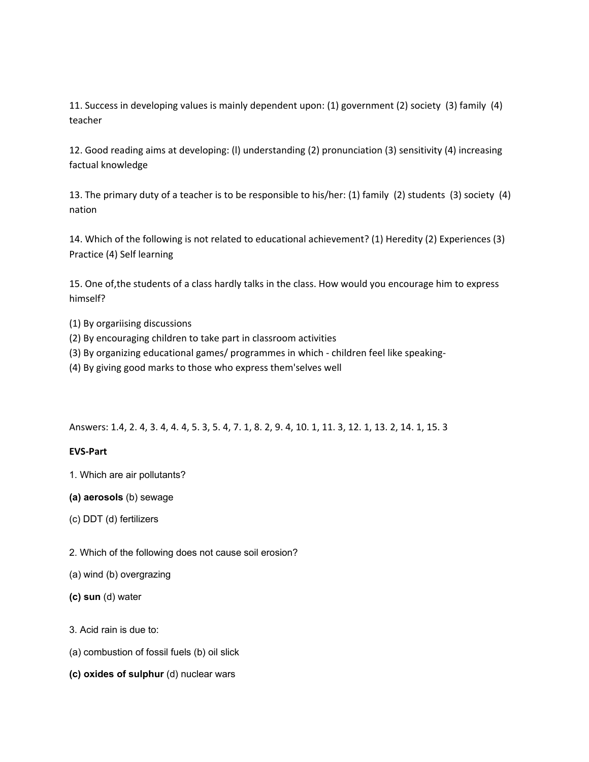11. Success in developing values is mainly dependent upon: (1) government (2) society (3) family (4) teacher

12. Good reading aims at developing: (l) understanding (2) pronunciation (3) sensitivity (4) increasing factual knowledge

13. The primary duty of a teacher is to be responsible to his/her: (1) family (2) students (3) society (4) nation

14. Which of the following is not related to educational achievement? (1) Heredity (2) Experiences (3) Practice (4) Self learning

15. One of,the students of a class hardly talks in the class. How would you encourage him to express himself?

- (1) By orgariising discussions
- (2) By encouraging children to take part in classroom activities
- (3) By organizing educational games/ programmes in which children feel like speaking-
- (4) By giving good marks to those who express them'selves well

Answers: 1.4, 2. 4, 3. 4, 4. 4, 5. 3, 5. 4, 7. 1, 8. 2, 9. 4, 10. 1, 11. 3, 12. 1, 13. 2, 14. 1, 15. 3

### **EVSどPart**

- 1. Which are air pollutants?
- **(a) aerosols** (b) sewage
- (c) DDT (d) fertilizers
- 2. Which of the following does not cause soil erosion?
- (a) wind (b) overgrazing
- **(c) sun** (d) water
- 3. Acid rain is due to:
- (a) combustion of fossil fuels (b) oil slick
- **(c) oxides of sulphur** (d) nuclear wars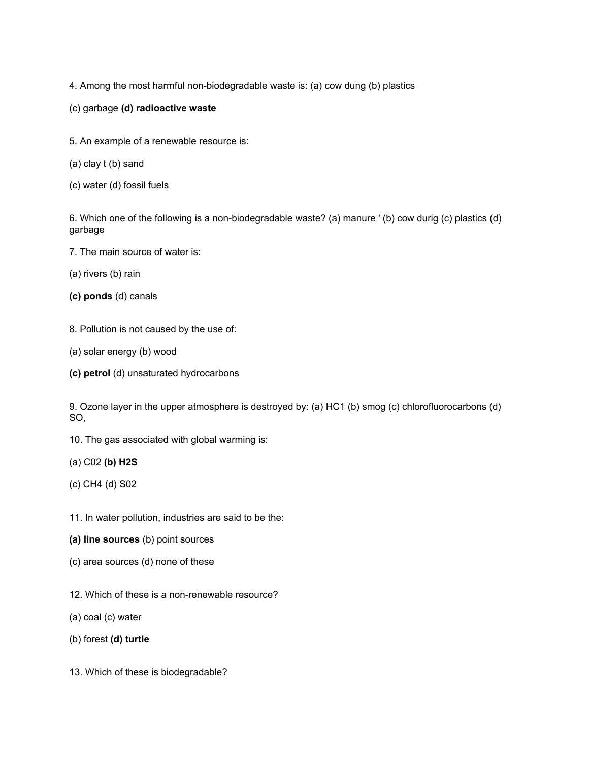4. Among the most harmful non-biodegradable waste is: (a) cow dung (b) plastics

- (c) garbage **(d) radioactive waste**
- 5. An example of a renewable resource is:
- (a) clay t (b) sand
- (c) water (d) fossil fuels

6. Which one of the following is a non-biodegradable waste? (a) manure ' (b) cow durig (c) plastics (d) garbage

- 7. The main source of water is:
- (a) rivers (b) rain
- **(c) ponds** (d) canals
- 8. Pollution is not caused by the use of:
- (a) solar energy (b) wood
- **(c) petrol** (d) unsaturated hydrocarbons

9. Ozone layer in the upper atmosphere is destroyed by: (a) HC1 (b) smog (c) chlorofluorocarbons (d) SO,

- 10. The gas associated with global warming is:
- (a) C02 **(b) H2S**
- (c) CH4 (d) S02
- 11. In water pollution, industries are said to be the:
- **(a) line sources** (b) point sources
- (c) area sources (d) none of these
- 12. Which of these is a non-renewable resource?
- (a) coal (c) water
- (b) forest **(d) turtle**
- 13. Which of these is biodegradable?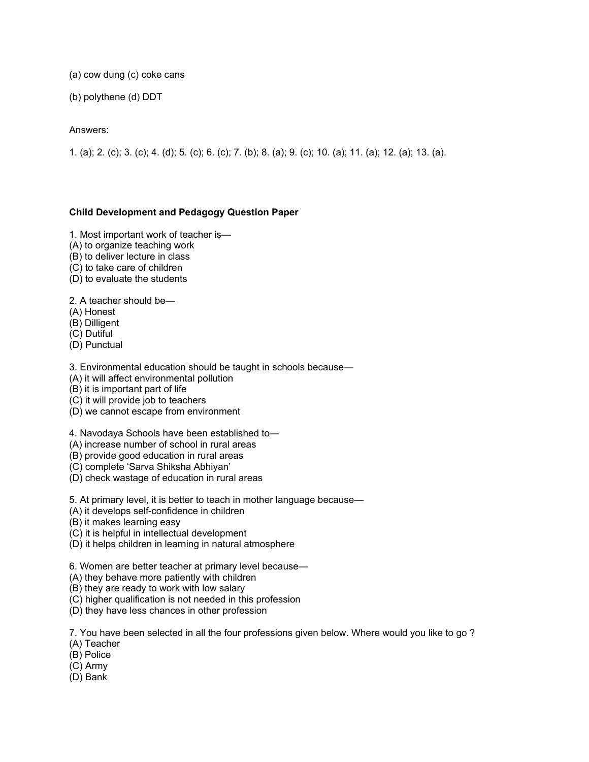(a) cow dung (c) coke cans

(b) polythene (d) DDT

### Answers:

1. (a); 2. (c); 3. (c); 4. (d); 5. (c); 6. (c); 7. (b); 8. (a); 9. (c); 10. (a); 11. (a); 12. (a); 13. (a).

### **Child Development and Pedagogy Question Paper**

- 1. Most important work of teacher is—
- (A) to organize teaching work
- (B) to deliver lecture in class
- (C) to take care of children
- (D) to evaluate the students

2. A teacher should be—

- (A) Honest
- (B) Dilligent
- (C) Dutiful
- (D) Punctual

3. Environmental education should be taught in schools because—

- (A) it will affect environmental pollution
- (B) it is important part of life
- (C) it will provide job to teachers
- (D) we cannot escape from environment

4. Navodaya Schools have been established to—

(A) increase number of school in rural areas

(B) provide good education in rural areas

(C) complete 'Sarva Shiksha Abhiyan'

(D) check wastage of education in rural areas

5. At primary level, it is better to teach in mother language because—

- (A) it develops self-confidence in children
- (B) it makes learning easy
- (C) it is helpful in intellectual development
- (D) it helps children in learning in natural atmosphere

6. Women are better teacher at primary level because—

(A) they behave more patiently with children

(B) they are ready to work with low salary

- (C) higher qualification is not needed in this profession
- (D) they have less chances in other profession

7. You have been selected in all the four professions given below. Where would you like to go ?

(A) Teacher

(B) Police

- (C) Army
- (D) Bank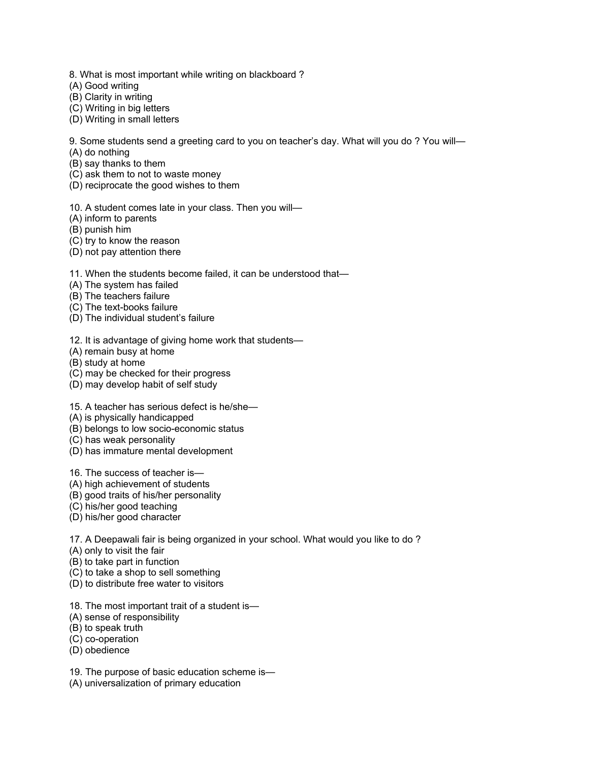- 8. What is most important while writing on blackboard ?
- (A) Good writing
- (B) Clarity in writing
- (C) Writing in big letters
- (D) Writing in small letters

9. Some students send a greeting card to you on teacher's day. What will you do ? You will—

- (A) do nothing
- (B) say thanks to them
- (C) ask them to not to waste money
- (D) reciprocate the good wishes to them

10. A student comes late in your class. Then you will—

- (A) inform to parents
- (B) punish him
- (C) try to know the reason
- (D) not pay attention there

11. When the students become failed, it can be understood that—

- (A) The system has failed
- (B) The teachers failure
- (C) The text-books failure
- (D) The individual student's failure
- 12. It is advantage of giving home work that students—
- (A) remain busy at home
- (B) study at home
- (C) may be checked for their progress
- (D) may develop habit of self study
- 15. A teacher has serious defect is he/she—
- (A) is physically handicapped
- (B) belongs to low socio-economic status
- (C) has weak personality
- (D) has immature mental development
- 16. The success of teacher is—
- (A) high achievement of students
- (B) good traits of his/her personality
- (C) his/her good teaching
- (D) his/her good character
- 17. A Deepawali fair is being organized in your school. What would you like to do ?
- (A) only to visit the fair
- (B) to take part in function
- (C) to take a shop to sell something
- (D) to distribute free water to visitors
- 18. The most important trait of a student is—
- (A) sense of responsibility
- (B) to speak truth
- (C) co-operation
- (D) obedience
- 19. The purpose of basic education scheme is—
- (A) universalization of primary education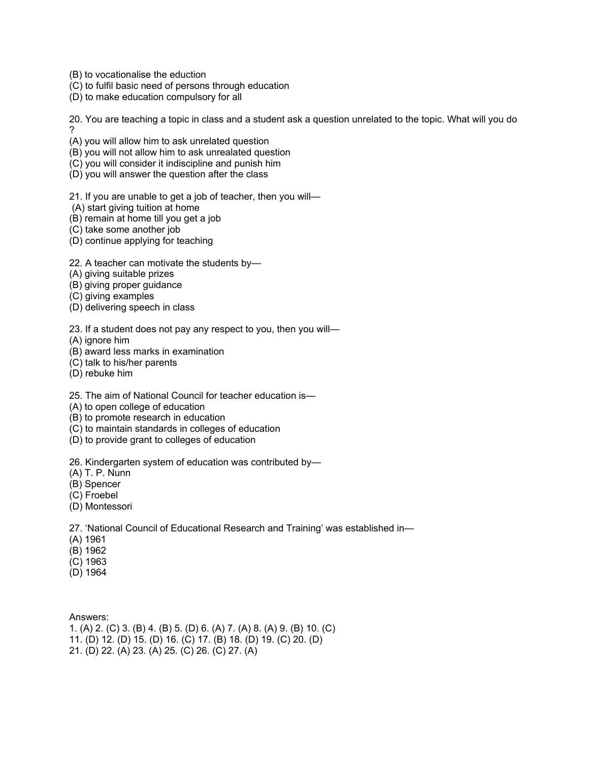(B) to vocationalise the eduction

- (C) to fulfil basic need of persons through education
- (D) to make education compulsory for all

20. You are teaching a topic in class and a student ask a question unrelated to the topic. What will you do ?

(A) you will allow him to ask unrelated question

- (B) you will not allow him to ask unrealated question
- (C) you will consider it indiscipline and punish him
- (D) you will answer the question after the class

21. If you are unable to get a job of teacher, then you will—

- (A) start giving tuition at home
- (B) remain at home till you get a job
- (C) take some another job
- (D) continue applying for teaching
- 22. A teacher can motivate the students by—
- (A) giving suitable prizes
- (B) giving proper guidance
- (C) giving examples
- (D) delivering speech in class

23. If a student does not pay any respect to you, then you will—

- (A) ignore him
- (B) award less marks in examination
- (C) talk to his/her parents
- (D) rebuke him
- 25. The aim of National Council for teacher education is—
- (A) to open college of education
- (B) to promote research in education
- (C) to maintain standards in colleges of education
- (D) to provide grant to colleges of education

26. Kindergarten system of education was contributed by—

- (A) T. P. Nunn
- (B) Spencer
- (C) Froebel
- (D) Montessori

27. 'National Council of Educational Research and Training' was established in—

- (A) 1961
- (B) 1962
- (C) 1963
- (D) 1964

Answers:

1. (A) 2. (C) 3. (B) 4. (B) 5. (D) 6. (A) 7. (A) 8. (A) 9. (B) 10. (C) 11. (D) 12. (D) 15. (D) 16. (C) 17. (B) 18. (D) 19. (C) 20. (D)

21. (D) 22. (A) 23. (A) 25. (C) 26. (C) 27. (A)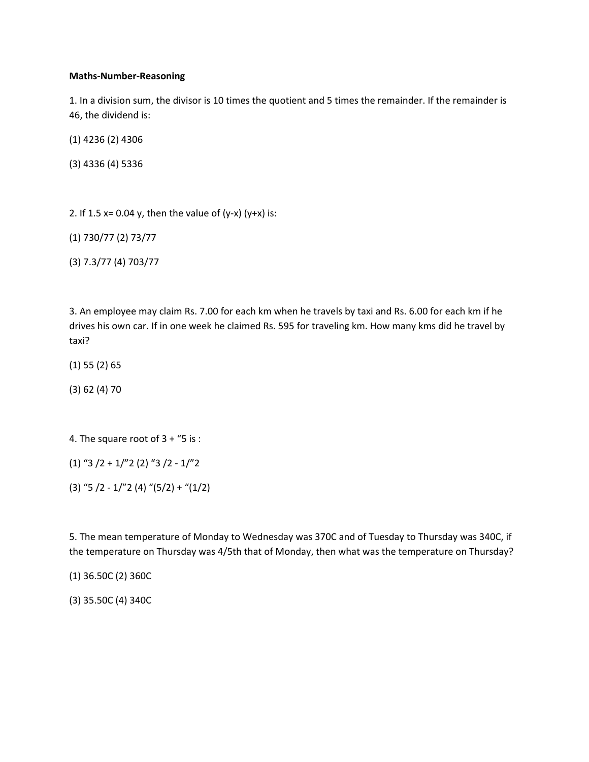#### **Maths-Number-Reasoning**

1. In a division sum, the divisor is 10 times the quotient and 5 times the remainder. If the remainder is 46, the dividend is:

(1) 4236 (2) 4306

(3) 4336 (4) 5336

2. If 1.5  $x= 0.04$  y, then the value of (y-x) (y+x) is:

(1) 730/77 (2) 73/77

(3) 7.3/77 (4) 703/77

3. An employee may claim Rs. 7.00 for each km when he travels by taxi and Rs. 6.00 for each km if he drives his own car. If in one week he claimed Rs. 595 for traveling km. How many kms did he travel by taxi?

(1) 55 (2) 65

(3) 62 (4) 70

4. The square root of 3 + "5 is :

 $(1)$  "3  $/2$  + 1/"2 (2) "3  $/2$  - 1/"2

 $(3)$  "5 /2 - 1/"2 (4) " $(5/2)$  + " $(1/2)$ 

5. The mean temperature of Monday to Wednesday was 370C and of Tuesday to Thursday was 340C, if the temperature on Thursday was 4/5th that of Monday, then what was the temperature on Thursday?

(1) 36.50C (2) 360C

(3) 35.50C (4) 340C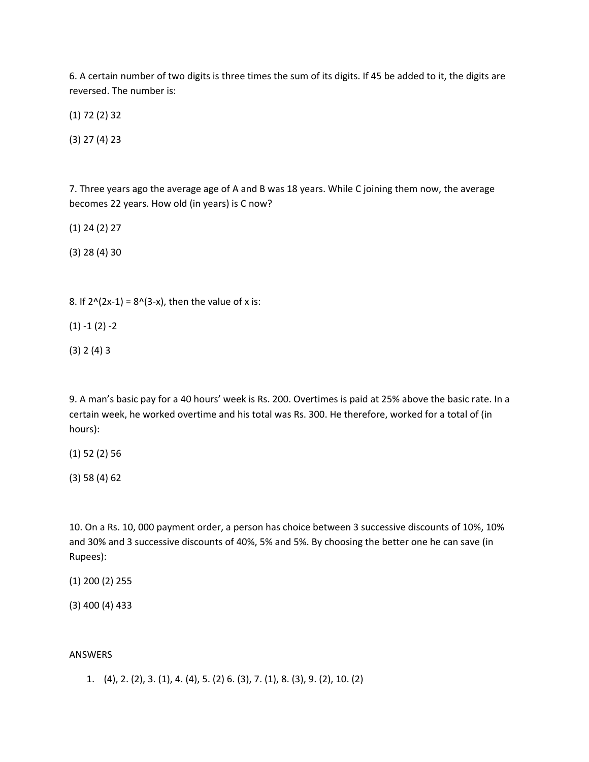6. A certain number of two digits is three times the sum of its digits. If 45 be added to it, the digits are reversed. The number is:

(1) 72 (2) 32

(3) 27 (4) 23

7. Three years ago the average age of A and B was 18 years. While C joining them now, the average becomes 22 years. How old (in years) is C now?

(1) 24 (2) 27

(3) 28 (4) 30

8. If  $2^{(2x-1)} = 8^{(3-x)}$ , then the value of x is:

 $(1) - 1 (2) - 2$ 

(3) 2 (4) 3

9. A man's basic pay for a 40 hours' week is Rs. 200. Overtimes is paid at 25% above the basic rate. In a certain week, he worked overtime and his total was Rs. 300. He therefore, worked for a total of (in hours):

(1) 52 (2) 56

(3) 58 (4) 62

10. On a Rs. 10, 000 payment order, a person has choice between 3 successive discounts of 10%, 10% and 30% and 3 successive discounts of 40%, 5% and 5%. By choosing the better one he can save (in Rupees):

(1) 200 (2) 255

(3) 400 (4) 433

#### ANSWERS

1. (4), 2. (2), 3. (1), 4. (4), 5. (2) 6. (3), 7. (1), 8. (3), 9. (2), 10. (2)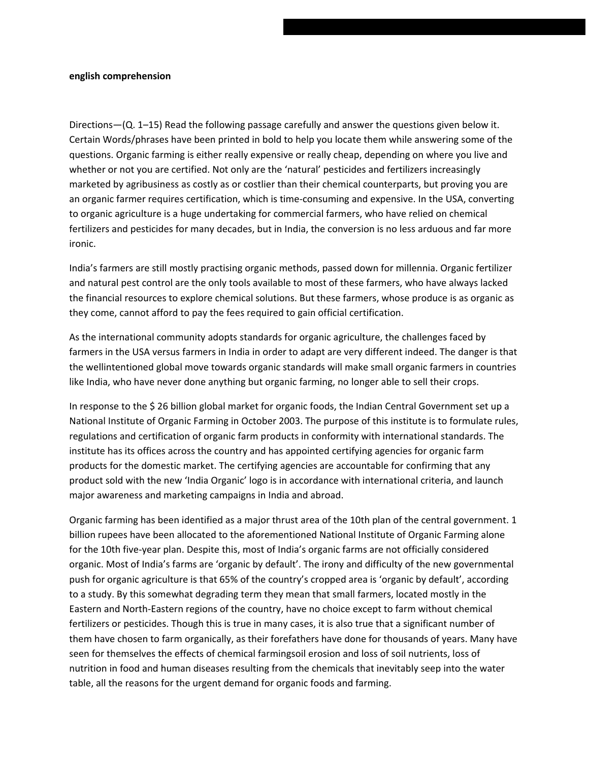#### **english comprehension**

Directions—(Q. 1–15) Read the following passage carefully and answer the questions given below it. Certain Words/phrases have been printed in bold to help you locate them while answering some of the questions. Organic farming is either really expensive or really cheap, depending on where you live and whether or not you are certified. Not only are the 'natural' pesticides and fertilizers increasingly marketed by agribusiness as costly as or costlier than their chemical counterparts, but proving you are an organic farmer requires certification, which is time-consuming and expensive. In the USA, converting to organic agriculture is a huge undertaking for commercial farmers, who have relied on chemical fertilizers and pesticides for many decades, but in India, the conversion is no less arduous and far more ironic.

India's farmers are still mostly practising organic methods, passed down for millennia. Organic fertilizer and natural pest control are the only tools available to most of these farmers, who have always lacked the financial resources to explore chemical solutions. But these farmers, whose produce is as organic as they come, cannot afford to pay the fees required to gain official certification.

As the international community adopts standards for organic agriculture, the challenges faced by farmers in the USA versus farmers in India in order to adapt are very different indeed. The danger is that the wellintentioned global move towards organic standards will make small organic farmers in countries like India, who have never done anything but organic farming, no longer able to sell their crops.

In response to the \$ 26 billion global market for organic foods, the Indian Central Government set up a National Institute of Organic Farming in October 2003. The purpose of this institute is to formulate rules, regulations and certification of organic farm products in conformity with international standards. The institute has its offices across the country and has appointed certifying agencies for organic farm products for the domestic market. The certifying agencies are accountable for confirming that any product sold with the new 'India Organic' logo is in accordance with international criteria, and launch major awareness and marketing campaigns in India and abroad.

Organic farming has been identified as a major thrust area of the 10th plan of the central government. 1 billion rupees have been allocated to the aforementioned National Institute of Organic Farming alone for the 10th five-year plan. Despite this, most of India's organic farms are not officially considered organic. Most of India's farms are 'organic by default'. The irony and difficulty of the new governmental push for organic agriculture is that 65% of the country's cropped area is 'organic by default', according to a study. By this somewhat degrading term they mean that small farmers, located mostly in the Eastern and North-Eastern regions of the country, have no choice except to farm without chemical fertilizers or pesticides. Though this is true in many cases, it is also true that a significant number of them have chosen to farm organically, as their forefathers have done for thousands of years. Many have seen for themselves the effects of chemical farmingsoil erosion and loss of soil nutrients, loss of nutrition in food and human diseases resulting from the chemicals that inevitably seep into the water table, all the reasons for the urgent demand for organic foods and farming.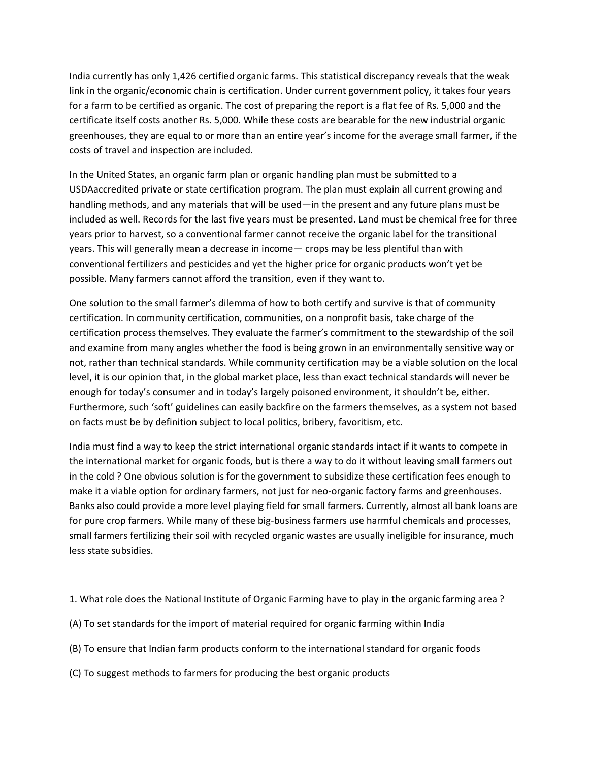India currently has only 1,426 certified organic farms. This statistical discrepancy reveals that the weak link in the organic/economic chain is certification. Under current government policy, it takes four years for a farm to be certified as organic. The cost of preparing the report is a flat fee of Rs. 5,000 and the certificate itself costs another Rs. 5,000. While these costs are bearable for the new industrial organic greenhouses, they are equal to or more than an entire year's income for the average small farmer, if the costs of travel and inspection are included.

In the United States, an organic farm plan or organic handling plan must be submitted to a USDAaccredited private or state certification program. The plan must explain all current growing and handling methods, and any materials that will be used—in the present and any future plans must be included as well. Records for the last five years must be presented. Land must be chemical free for three years prior to harvest, so a conventional farmer cannot receive the organic label for the transitional years. This will generally mean a decrease in income— crops may be less plentiful than with conventional fertilizers and pesticides and yet the higher price for organic products won't yet be possible. Many farmers cannot afford the transition, even if they want to.

One solution to the small farmer's dilemma of how to both certify and survive is that of community certification. In community certification, communities, on a nonprofit basis, take charge of the certification process themselves. They evaluate the farmer's commitment to the stewardship of the soil and examine from many angles whether the food is being grown in an environmentally sensitive way or not, rather than technical standards. While community certification may be a viable solution on the local level, it is our opinion that, in the global market place, less than exact technical standards will never be enough for today's consumer and in today's largely poisoned environment, it shouldn't be, either. Furthermore, such 'soft' guidelines can easily backfire on the farmers themselves, as a system not based on facts must be by definition subject to local politics, bribery, favoritism, etc.

India must find a way to keep the strict international organic standards intact if it wants to compete in the international market for organic foods, but is there a way to do it without leaving small farmers out in the cold ? One obvious solution is for the government to subsidize these certification fees enough to make it a viable option for ordinary farmers, not just for neo-organic factory farms and greenhouses. Banks also could provide a more level playing field for small farmers. Currently, almost all bank loans are for pure crop farmers. While many of these big-business farmers use harmful chemicals and processes, small farmers fertilizing their soil with recycled organic wastes are usually ineligible for insurance, much less state subsidies.

- 1. What role does the National Institute of Organic Farming have to play in the organic farming area ?
- (A) To set standards for the import of material required for organic farming within India
- (B) To ensure that Indian farm products conform to the international standard for organic foods
- (C) To suggest methods to farmers for producing the best organic products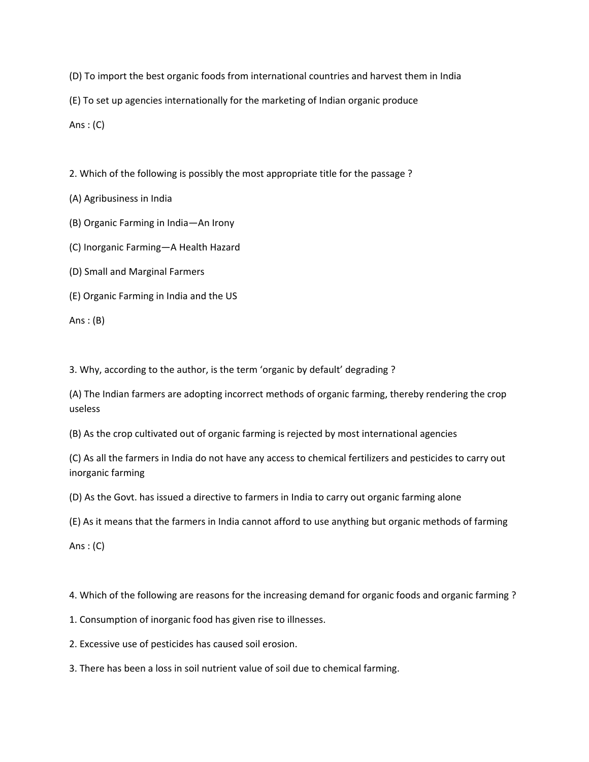(D) To import the best organic foods from international countries and harvest them in India

(E) To set up agencies internationally for the marketing of Indian organic produce

Ans  $: (C)$ 

2. Which of the following is possibly the most appropriate title for the passage ?

(A) Agribusiness in India

(B) Organic Farming in India—An Irony

(C) Inorganic Farming—A Health Hazard

(D) Small and Marginal Farmers

(E) Organic Farming in India and the US

Ans :  $(B)$ 

3. Why, according to the author, is the term 'organic by default' degrading ?

(A) The Indian farmers are adopting incorrect methods of organic farming, thereby rendering the crop useless

(B) As the crop cultivated out of organic farming is rejected by most international agencies

(C) As all the farmers in India do not have any access to chemical fertilizers and pesticides to carry out inorganic farming

(D) As the Govt. has issued a directive to farmers in India to carry out organic farming alone

(E) As it means that the farmers in India cannot afford to use anything but organic methods of farming

Ans  $:(C)$ 

4. Which of the following are reasons for the increasing demand for organic foods and organic farming ?

1. Consumption of inorganic food has given rise to illnesses.

2. Excessive use of pesticides has caused soil erosion.

3. There has been a loss in soil nutrient value of soil due to chemical farming.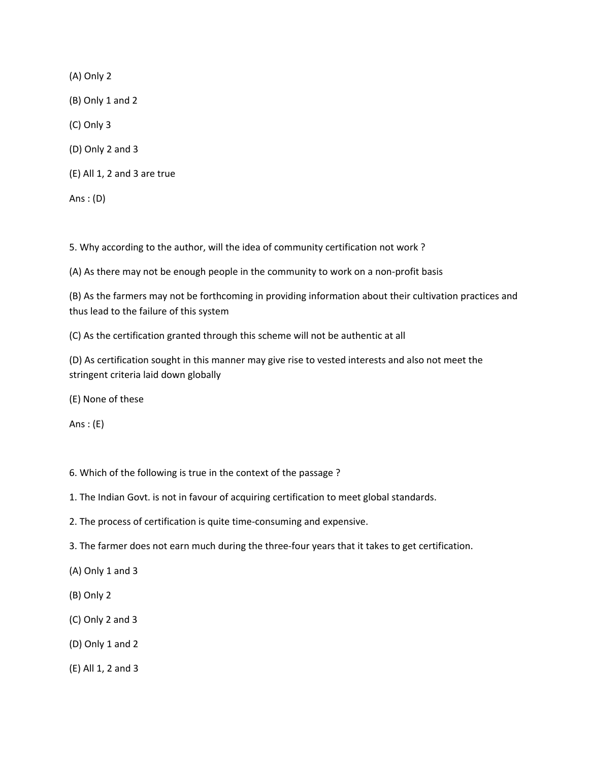(A) Only 2

(B) Only 1 and 2

(C) Only 3

(D) Only 2 and 3

(E) All 1, 2 and 3 are true

Ans : (D)

5. Why according to the author, will the idea of community certification not work ?

 $(A)$  As there may not be enough people in the community to work on a non-profit basis

(B) As the farmers may not be forthcoming in providing information about their cultivation practices and thus lead to the failure of this system

(C) As the certification granted through this scheme will not be authentic at all

(D) As certification sought in this manner may give rise to vested interests and also not meet the stringent criteria laid down globally

(E) None of these

Ans  $:$  (E)

- 6. Which of the following is true in the context of the passage ?
- 1. The Indian Govt. is not in favour of acquiring certification to meet global standards.
- 2. The process of certification is quite time-consuming and expensive.
- 3. The farmer does not earn much during the three-four years that it takes to get certification.
- (A) Only 1 and 3
- (B) Only 2
- (C) Only 2 and 3
- (D) Only 1 and 2
- (E) All 1, 2 and 3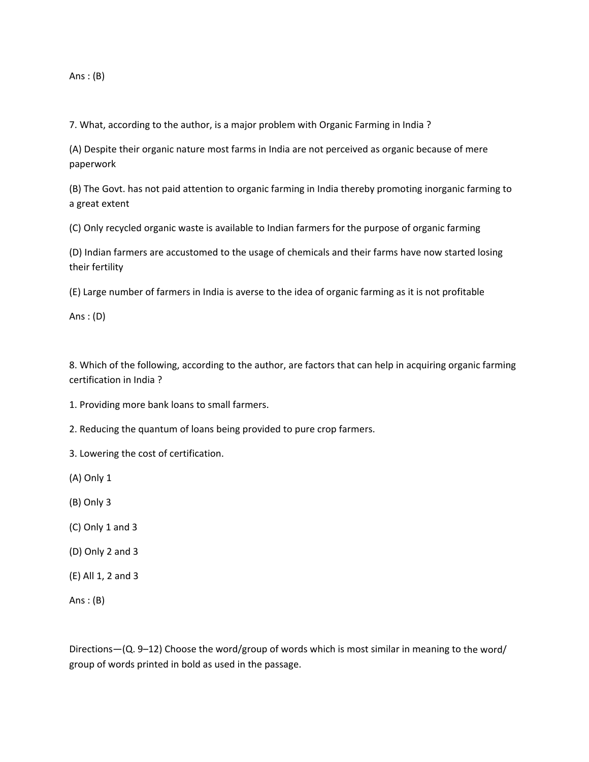Ans: $(B)$ 

7. What, according to the author, is a major problem with Organic Farming in India ?

(A) Despite their organic nature most farms in India are not perceived as organic because of mere paperwork

(B) The Govt. has not paid attention to organic farming in India thereby promoting inorganic farming to a great extent

(C) Only recycled organic waste is available to Indian farmers for the purpose of organic farming

(D) Indian farmers are accustomed to the usage of chemicals and their farms have now started losing their fertility

(E) Large number of farmers in India is averse to the idea of organic farming as it is not profitable

Ans : (D)

8. Which of the following, according to the author, are factors that can help in acquiring organic farming certification in India ?

1. Providing more bank loans to small farmers.

2. Reducing the quantum of loans being provided to pure crop farmers.

3. Lowering the cost of certification.

(A) Only 1

(B) Only 3

- (C) Only 1 and 3
- (D) Only 2 and 3
- (E) All 1, 2 and 3

Ans :  $(B)$ 

Directions—(Q. 9–12) Choose the word/group of words which is most similar in meaning to the word/ group of words printed in bold as used in the passage.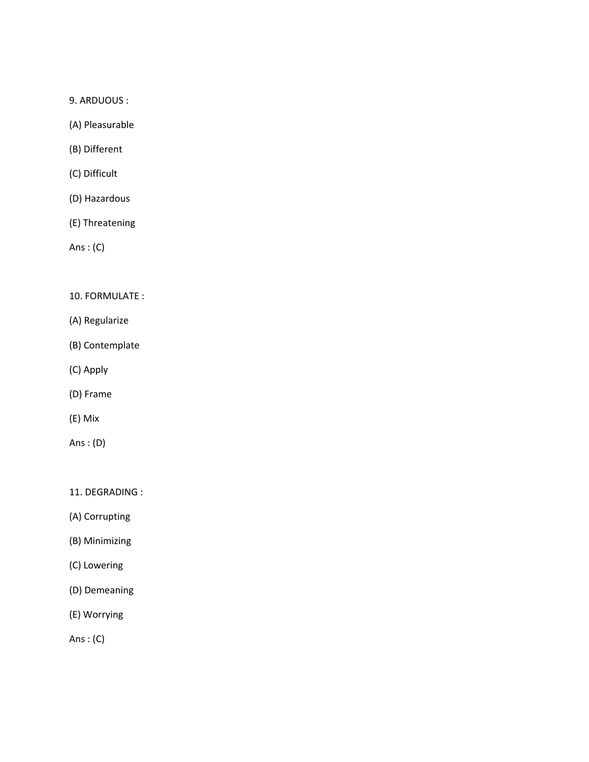9. ARDUOUS :

(A) Pleasurable

(B) Different

(C) Difficult

(D) Hazardous

(E) Threatening

Ans : (C)

## 10. FORMULATE :

- (A) Regularize
- (B) Contemplate
- (C) Apply
- (D) Frame
- (E) Mix
- Ans : (D)

11. DEGRADING :

(A) Corrupting

(B) Minimizing

- (C) Lowering
- (D) Demeaning
- (E) Worrying

Ans : (C)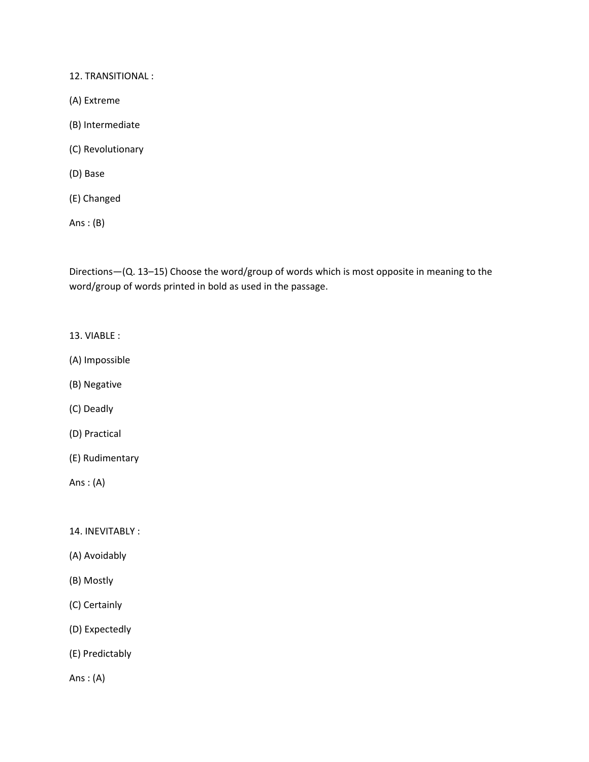12. TRANSITIONAL :

- (A) Extreme
- (B) Intermediate
- (C) Revolutionary
- (D) Base
- (E) Changed

Ans : (B)

Directions—(Q. 13–15) Choose the word/group of words which is most opposite in meaning to the word/group of words printed in bold as used in the passage.

- 13. VIABLE :
- (A) Impossible
- (B) Negative
- (C) Deadly
- (D) Practical
- (E) Rudimentary

Ans: $(A)$ 

14. INEVITABLY :

- (A) Avoidably
- (B) Mostly
- (C) Certainly
- (D) Expectedly
- (E) Predictably

Ans : (A)